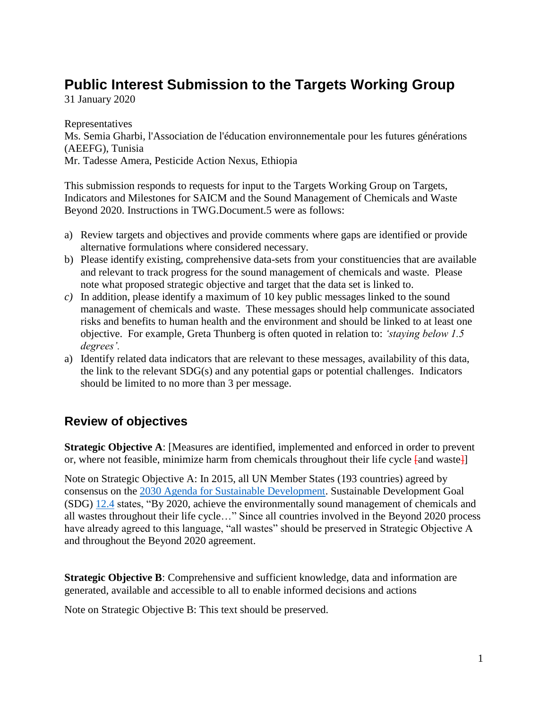# **Public Interest Submission to the Targets Working Group**

31 January 2020

Representatives Ms. Semia Gharbi, l'Association de l'éducation environnementale pour les futures générations (AEEFG), Tunisia Mr. Tadesse Amera, Pesticide Action Nexus, Ethiopia

This submission responds to requests for input to the Targets Working Group on Targets, Indicators and Milestones for SAICM and the Sound Management of Chemicals and Waste Beyond 2020. Instructions in TWG.Document.5 were as follows:

- a) Review targets and objectives and provide comments where gaps are identified or provide alternative formulations where considered necessary.
- b) Please identify existing, comprehensive data-sets from your constituencies that are available and relevant to track progress for the sound management of chemicals and waste. Please note what proposed strategic objective and target that the data set is linked to.
- *c)* In addition, please identify a maximum of 10 key public messages linked to the sound management of chemicals and waste. These messages should help communicate associated risks and benefits to human health and the environment and should be linked to at least one objective. For example, Greta Thunberg is often quoted in relation to: *'staying below 1.5 degrees'.*
- a) Identify related data indicators that are relevant to these messages, availability of this data, the link to the relevant SDG(s) and any potential gaps or potential challenges. Indicators should be limited to no more than 3 per message.

### **Review of objectives**

**Strategic Objective A**: [Measures are identified, implemented and enforced in order to prevent or, where not feasible, minimize harm from chemicals throughout their life cycle  $\varphi$  [and waste]]

Note on Strategic Objective A: In 2015, all UN Member States (193 countries) agreed by consensus on the [2030 Agenda for Sustainable Development.](https://sustainabledevelopment.un.org/post2015/transformingourworld) Sustainable Development Goal (SDG) [12.4](https://www.un.org/ga/search/view_doc.asp?symbol=A/RES/70/1&Lang=E) states, "By 2020, achieve the environmentally sound management of chemicals and all wastes throughout their life cycle…" Since all countries involved in the Beyond 2020 process have already agreed to this language, "all wastes" should be preserved in Strategic Objective A and throughout the Beyond 2020 agreement.

**Strategic Objective B:** Comprehensive and sufficient knowledge, data and information are generated, available and accessible to all to enable informed decisions and actions

Note on Strategic Objective B: This text should be preserved.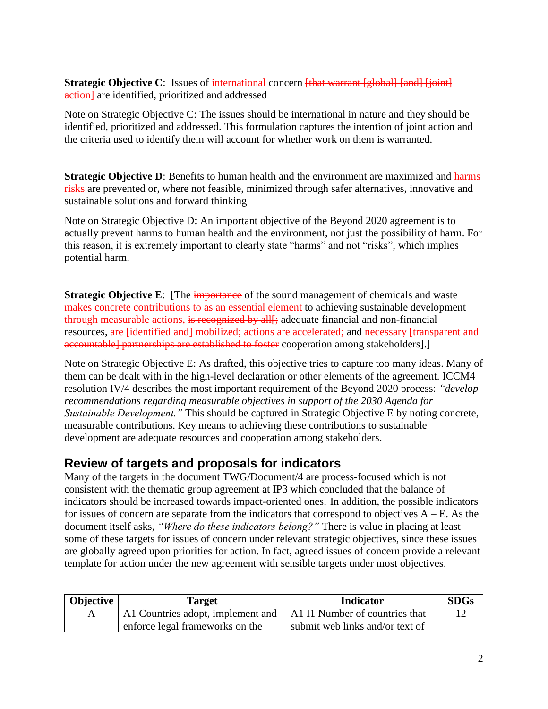#### **Strategic Objective C**: Issues of international concern [that warrant [global] [and] [joint] action<sup>1</sup> are identified, prioritized and addressed

Note on Strategic Objective C: The issues should be international in nature and they should be identified, prioritized and addressed. This formulation captures the intention of joint action and the criteria used to identify them will account for whether work on them is warranted.

**Strategic Objective D**: Benefits to human health and the environment are maximized and harms risks are prevented or, where not feasible, minimized through safer alternatives, innovative and sustainable solutions and forward thinking

Note on Strategic Objective D: An important objective of the Beyond 2020 agreement is to actually prevent harms to human health and the environment, not just the possibility of harm. For this reason, it is extremely important to clearly state "harms" and not "risks", which implies potential harm.

**Strategic Objective E:** [The *importance* of the sound management of chemicals and waste makes concrete contributions to as an essential element to achieving sustainable development through measurable actions, is recognized by all<sub>1</sub>; adequate financial and non-financial resources, are *[identified and] mobilized; actions are accelerated; and necessary [transparent and* accountable] partnerships are established to foster cooperation among stakeholders].]

Note on Strategic Objective E: As drafted, this objective tries to capture too many ideas. Many of them can be dealt with in the high-level declaration or other elements of the agreement. ICCM4 resolution IV/4 describes the most important requirement of the Beyond 2020 process: *"develop recommendations regarding measurable objectives in support of the 2030 Agenda for Sustainable Development."* This should be captured in Strategic Objective E by noting concrete, measurable contributions. Key means to achieving these contributions to sustainable development are adequate resources and cooperation among stakeholders.

### **Review of targets and proposals for indicators**

Many of the targets in the document TWG/Document/4 are process-focused which is not consistent with the thematic group agreement at IP3 which concluded that the balance of indicators should be increased towards impact-oriented ones. In addition, the possible indicators for issues of concern are separate from the indicators that correspond to objectives  $A - E$ . As the document itself asks, *"Where do these indicators belong?"* There is value in placing at least some of these targets for issues of concern under relevant strategic objectives, since these issues are globally agreed upon priorities for action. In fact, agreed issues of concern provide a relevant template for action under the new agreement with sensible targets under most objectives.

| Objective | Target                                                             | <b>Indicator</b>                | <b>SDGs</b> |
|-----------|--------------------------------------------------------------------|---------------------------------|-------------|
|           | A1 Countries adopt, implement and   A1 I1 Number of countries that |                                 |             |
|           | enforce legal frameworks on the                                    | submit web links and/or text of |             |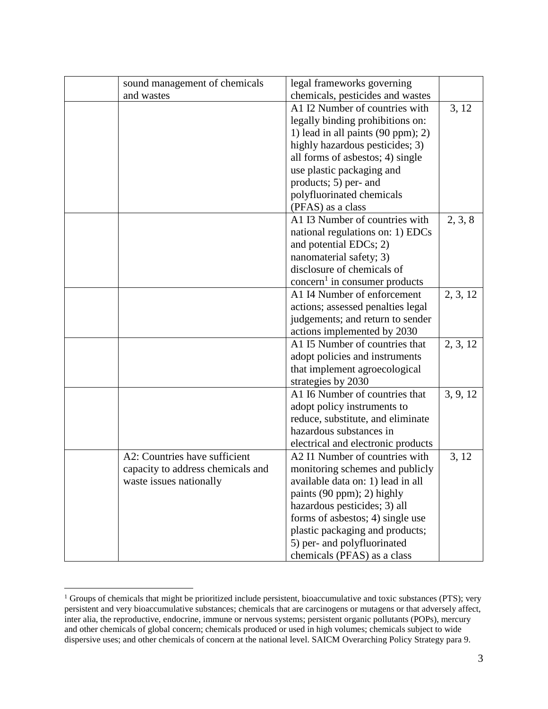| sound management of chemicals     | legal frameworks governing                |          |
|-----------------------------------|-------------------------------------------|----------|
| and wastes                        | chemicals, pesticides and wastes          |          |
|                                   | A1 I2 Number of countries with            | 3, 12    |
|                                   | legally binding prohibitions on:          |          |
|                                   | 1) lead in all paints $(90 ppm)$ ; 2)     |          |
|                                   | highly hazardous pesticides; 3)           |          |
|                                   | all forms of asbestos; 4) single          |          |
|                                   | use plastic packaging and                 |          |
|                                   | products; 5) per- and                     |          |
|                                   | polyfluorinated chemicals                 |          |
|                                   | (PFAS) as a class                         |          |
|                                   | A1 I3 Number of countries with            | 2, 3, 8  |
|                                   | national regulations on: 1) EDCs          |          |
|                                   | and potential EDCs; 2)                    |          |
|                                   | nanomaterial safety; 3)                   |          |
|                                   | disclosure of chemicals of                |          |
|                                   | concern <sup>1</sup> in consumer products |          |
|                                   | A1 I4 Number of enforcement               | 2, 3, 12 |
|                                   | actions; assessed penalties legal         |          |
|                                   | judgements; and return to sender          |          |
|                                   | actions implemented by 2030               |          |
|                                   | A1 I5 Number of countries that            | 2, 3, 12 |
|                                   | adopt policies and instruments            |          |
|                                   | that implement agroecological             |          |
|                                   | strategies by 2030                        |          |
|                                   | A1 I6 Number of countries that            | 3, 9, 12 |
|                                   | adopt policy instruments to               |          |
|                                   | reduce, substitute, and eliminate         |          |
|                                   | hazardous substances in                   |          |
|                                   | electrical and electronic products        |          |
| A2: Countries have sufficient     | A2 I1 Number of countries with            | 3, 12    |
| capacity to address chemicals and | monitoring schemes and publicly           |          |
| waste issues nationally           | available data on: 1) lead in all         |          |
|                                   | paints (90 ppm); 2) highly                |          |
|                                   | hazardous pesticides; 3) all              |          |
|                                   | forms of asbestos; 4) single use          |          |
|                                   | plastic packaging and products;           |          |
|                                   | 5) per- and polyfluorinated               |          |
|                                   | chemicals (PFAS) as a class               |          |

<sup>&</sup>lt;sup>1</sup> Groups of chemicals that might be prioritized include persistent, bioaccumulative and toxic substances (PTS); very persistent and very bioaccumulative substances; chemicals that are carcinogens or mutagens or that adversely affect, inter alia, the reproductive, endocrine, immune or nervous systems; persistent organic pollutants (POPs), mercury and other chemicals of global concern; chemicals produced or used in high volumes; chemicals subject to wide dispersive uses; and other chemicals of concern at the national level. SAICM Overarching Policy Strategy para 9.

 $\overline{a}$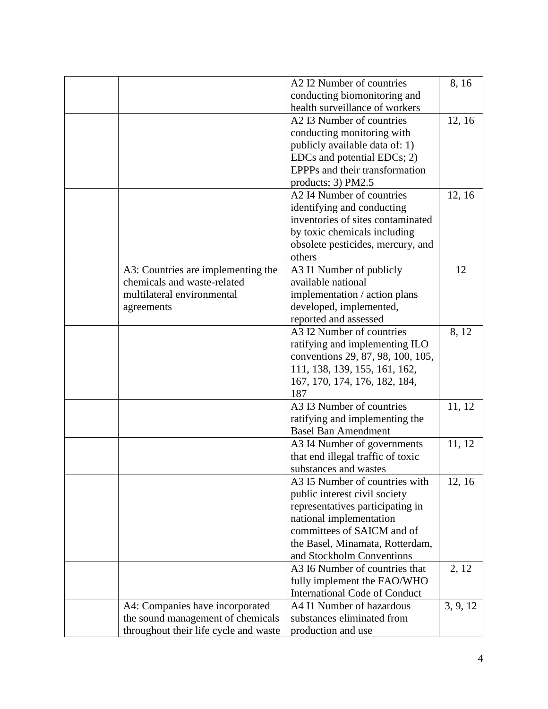|                                                                                                               | A2 I2 Number of countries                                                                                                                                                                                                                                                                                       | 8, 16             |
|---------------------------------------------------------------------------------------------------------------|-----------------------------------------------------------------------------------------------------------------------------------------------------------------------------------------------------------------------------------------------------------------------------------------------------------------|-------------------|
|                                                                                                               | conducting biomonitoring and                                                                                                                                                                                                                                                                                    |                   |
|                                                                                                               | health surveillance of workers                                                                                                                                                                                                                                                                                  |                   |
|                                                                                                               | A2 I3 Number of countries                                                                                                                                                                                                                                                                                       | 12, 16            |
|                                                                                                               | conducting monitoring with                                                                                                                                                                                                                                                                                      |                   |
|                                                                                                               | publicly available data of: 1)                                                                                                                                                                                                                                                                                  |                   |
|                                                                                                               | EDCs and potential EDCs; 2)                                                                                                                                                                                                                                                                                     |                   |
|                                                                                                               | EPPPs and their transformation                                                                                                                                                                                                                                                                                  |                   |
|                                                                                                               | products; 3) PM2.5                                                                                                                                                                                                                                                                                              |                   |
|                                                                                                               | A2 I4 Number of countries                                                                                                                                                                                                                                                                                       | 12, 16            |
|                                                                                                               | identifying and conducting                                                                                                                                                                                                                                                                                      |                   |
|                                                                                                               | inventories of sites contaminated                                                                                                                                                                                                                                                                               |                   |
|                                                                                                               | by toxic chemicals including                                                                                                                                                                                                                                                                                    |                   |
|                                                                                                               | obsolete pesticides, mercury, and                                                                                                                                                                                                                                                                               |                   |
|                                                                                                               | others                                                                                                                                                                                                                                                                                                          |                   |
| A3: Countries are implementing the                                                                            | A3 I1 Number of publicly                                                                                                                                                                                                                                                                                        | 12                |
| chemicals and waste-related                                                                                   | available national                                                                                                                                                                                                                                                                                              |                   |
| multilateral environmental                                                                                    | implementation / action plans                                                                                                                                                                                                                                                                                   |                   |
|                                                                                                               | developed, implemented,                                                                                                                                                                                                                                                                                         |                   |
| agreements                                                                                                    | reported and assessed                                                                                                                                                                                                                                                                                           |                   |
|                                                                                                               | A3 I2 Number of countries                                                                                                                                                                                                                                                                                       | 8, 12             |
|                                                                                                               | ratifying and implementing ILO                                                                                                                                                                                                                                                                                  |                   |
|                                                                                                               | conventions 29, 87, 98, 100, 105,                                                                                                                                                                                                                                                                               |                   |
|                                                                                                               | 111, 138, 139, 155, 161, 162,                                                                                                                                                                                                                                                                                   |                   |
|                                                                                                               | 167, 170, 174, 176, 182, 184,                                                                                                                                                                                                                                                                                   |                   |
|                                                                                                               | 187                                                                                                                                                                                                                                                                                                             |                   |
|                                                                                                               | A3 I3 Number of countries                                                                                                                                                                                                                                                                                       | 11, 12            |
|                                                                                                               | ratifying and implementing the                                                                                                                                                                                                                                                                                  |                   |
|                                                                                                               | <b>Basel Ban Amendment</b>                                                                                                                                                                                                                                                                                      |                   |
|                                                                                                               | A3 I4 Number of governments                                                                                                                                                                                                                                                                                     | 11, 12            |
|                                                                                                               | that end illegal traffic of toxic                                                                                                                                                                                                                                                                               |                   |
|                                                                                                               | substances and wastes                                                                                                                                                                                                                                                                                           |                   |
|                                                                                                               | A3 I5 Number of countries with                                                                                                                                                                                                                                                                                  | 12, 16            |
|                                                                                                               | public interest civil society                                                                                                                                                                                                                                                                                   |                   |
|                                                                                                               | representatives participating in                                                                                                                                                                                                                                                                                |                   |
|                                                                                                               |                                                                                                                                                                                                                                                                                                                 |                   |
|                                                                                                               |                                                                                                                                                                                                                                                                                                                 |                   |
|                                                                                                               |                                                                                                                                                                                                                                                                                                                 |                   |
|                                                                                                               |                                                                                                                                                                                                                                                                                                                 |                   |
|                                                                                                               |                                                                                                                                                                                                                                                                                                                 |                   |
|                                                                                                               |                                                                                                                                                                                                                                                                                                                 |                   |
|                                                                                                               |                                                                                                                                                                                                                                                                                                                 |                   |
|                                                                                                               |                                                                                                                                                                                                                                                                                                                 |                   |
|                                                                                                               |                                                                                                                                                                                                                                                                                                                 |                   |
|                                                                                                               |                                                                                                                                                                                                                                                                                                                 |                   |
| A4: Companies have incorporated<br>the sound management of chemicals<br>throughout their life cycle and waste | national implementation<br>committees of SAICM and of<br>the Basel, Minamata, Rotterdam,<br>and Stockholm Conventions<br>A3 I6 Number of countries that<br>fully implement the FAO/WHO<br><b>International Code of Conduct</b><br>A4 I1 Number of hazardous<br>substances eliminated from<br>production and use | 2, 12<br>3, 9, 12 |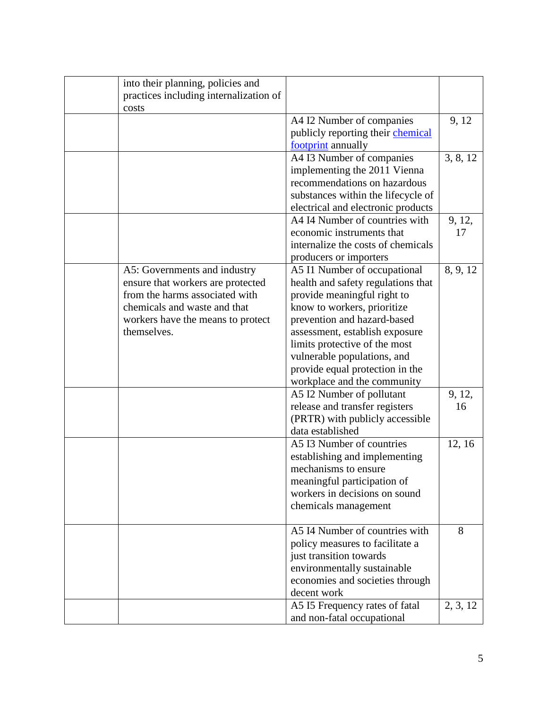| into their planning, policies and      |                                    |          |
|----------------------------------------|------------------------------------|----------|
| practices including internalization of |                                    |          |
| costs                                  |                                    |          |
|                                        | A4 I2 Number of companies          | 9, 12    |
|                                        | publicly reporting their chemical  |          |
|                                        | footprint annually                 |          |
|                                        | A4 I3 Number of companies          | 3, 8, 12 |
|                                        | implementing the 2011 Vienna       |          |
|                                        | recommendations on hazardous       |          |
|                                        | substances within the lifecycle of |          |
|                                        | electrical and electronic products |          |
|                                        | A4 I4 Number of countries with     |          |
|                                        |                                    | 9, 12,   |
|                                        | economic instruments that          | 17       |
|                                        | internalize the costs of chemicals |          |
|                                        | producers or importers             |          |
| A5: Governments and industry           | A5 I1 Number of occupational       | 8, 9, 12 |
| ensure that workers are protected      | health and safety regulations that |          |
| from the harms associated with         | provide meaningful right to        |          |
| chemicals and waste and that           | know to workers, prioritize        |          |
| workers have the means to protect      | prevention and hazard-based        |          |
| themselves.                            | assessment, establish exposure     |          |
|                                        | limits protective of the most      |          |
|                                        | vulnerable populations, and        |          |
|                                        | provide equal protection in the    |          |
|                                        | workplace and the community        |          |
|                                        | A5 I2 Number of pollutant          | 9, 12,   |
|                                        | release and transfer registers     | 16       |
|                                        | (PRTR) with publicly accessible    |          |
|                                        | data established                   |          |
|                                        | A5 I3 Number of countries          | 12, 16   |
|                                        | establishing and implementing      |          |
|                                        | mechanisms to ensure               |          |
|                                        |                                    |          |
|                                        | meaningful participation of        |          |
|                                        | workers in decisions on sound      |          |
|                                        | chemicals management               |          |
|                                        |                                    |          |
|                                        | A5 I4 Number of countries with     | 8        |
|                                        | policy measures to facilitate a    |          |
|                                        | just transition towards            |          |
|                                        | environmentally sustainable        |          |
|                                        | economies and societies through    |          |
|                                        | decent work                        |          |
|                                        | A5 I5 Frequency rates of fatal     | 2, 3, 12 |
|                                        | and non-fatal occupational         |          |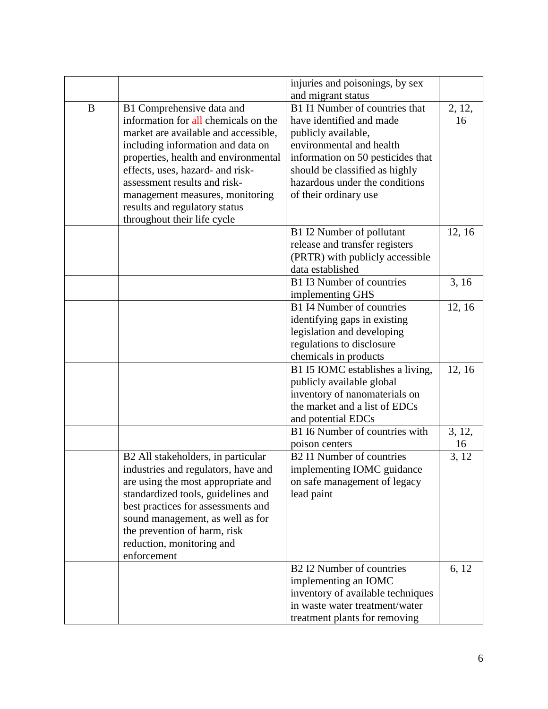|   |                                      | injuries and poisonings, by sex       |        |
|---|--------------------------------------|---------------------------------------|--------|
|   |                                      | and migrant status                    |        |
| B | B1 Comprehensive data and            | B1 I1 Number of countries that        | 2, 12, |
|   | information for all chemicals on the | have identified and made              | 16     |
|   | market are available and accessible, | publicly available,                   |        |
|   | including information and data on    | environmental and health              |        |
|   | properties, health and environmental | information on 50 pesticides that     |        |
|   | effects, uses, hazard- and risk-     | should be classified as highly        |        |
|   | assessment results and risk-         | hazardous under the conditions        |        |
|   | management measures, monitoring      | of their ordinary use                 |        |
|   | results and regulatory status        |                                       |        |
|   | throughout their life cycle          |                                       |        |
|   |                                      | B1 I2 Number of pollutant             | 12, 16 |
|   |                                      | release and transfer registers        |        |
|   |                                      | (PRTR) with publicly accessible       |        |
|   |                                      | data established                      |        |
|   |                                      |                                       |        |
|   |                                      | B1 I3 Number of countries             | 3, 16  |
|   |                                      | implementing GHS                      |        |
|   |                                      | B1 I4 Number of countries             | 12, 16 |
|   |                                      | identifying gaps in existing          |        |
|   |                                      | legislation and developing            |        |
|   |                                      | regulations to disclosure             |        |
|   |                                      | chemicals in products                 |        |
|   |                                      | B1 I5 IOMC establishes a living,      | 12, 16 |
|   |                                      | publicly available global             |        |
|   |                                      | inventory of nanomaterials on         |        |
|   |                                      | the market and a list of EDCs         |        |
|   |                                      | and potential EDCs                    |        |
|   |                                      | B1 I6 Number of countries with        | 3, 12, |
|   |                                      | poison centers                        | 16     |
|   | B2 All stakeholders, in particular   | B <sub>2</sub> I1 Number of countries | 3, 12  |
|   | industries and regulators, have and  | implementing IOMC guidance            |        |
|   | are using the most appropriate and   | on safe management of legacy          |        |
|   | standardized tools, guidelines and   | lead paint                            |        |
|   | best practices for assessments and   |                                       |        |
|   | sound management, as well as for     |                                       |        |
|   | the prevention of harm, risk         |                                       |        |
|   |                                      |                                       |        |
|   | reduction, monitoring and            |                                       |        |
|   | enforcement                          |                                       |        |
|   |                                      | B2 I2 Number of countries             | 6, 12  |
|   |                                      | implementing an IOMC                  |        |
|   |                                      | inventory of available techniques     |        |
|   |                                      | in waste water treatment/water        |        |
|   |                                      | treatment plants for removing         |        |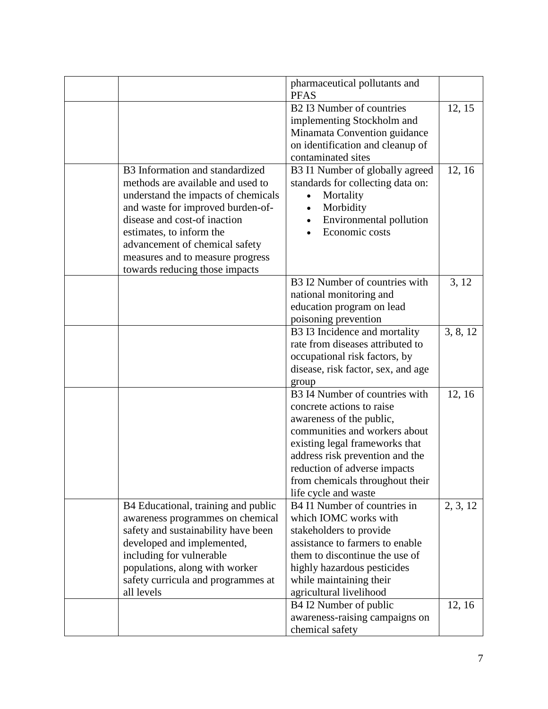|                                     | pharmaceutical pollutants and<br><b>PFAS</b>              |          |
|-------------------------------------|-----------------------------------------------------------|----------|
|                                     | <b>B2 I3 Number of countries</b>                          | 12, 15   |
|                                     | implementing Stockholm and                                |          |
|                                     | Minamata Convention guidance                              |          |
|                                     | on identification and cleanup of                          |          |
|                                     | contaminated sites                                        |          |
| B3 Information and standardized     | B3 I1 Number of globally agreed                           | 12, 16   |
| methods are available and used to   | standards for collecting data on:                         |          |
| understand the impacts of chemicals | Mortality<br>$\bullet$                                    |          |
| and waste for improved burden-of-   | Morbidity<br>$\bullet$                                    |          |
| disease and cost-of inaction        | Environmental pollution<br>$\bullet$                      |          |
| estimates, to inform the            | Economic costs                                            |          |
| advancement of chemical safety      |                                                           |          |
| measures and to measure progress    |                                                           |          |
| towards reducing those impacts      |                                                           |          |
|                                     | B3 I2 Number of countries with                            | 3, 12    |
|                                     | national monitoring and                                   |          |
|                                     | education program on lead                                 |          |
|                                     | poisoning prevention                                      |          |
|                                     | B3 I3 Incidence and mortality                             | 3, 8, 12 |
|                                     | rate from diseases attributed to                          |          |
|                                     | occupational risk factors, by                             |          |
|                                     | disease, risk factor, sex, and age                        |          |
|                                     | group                                                     |          |
|                                     | B3 I4 Number of countries with                            | 12, 16   |
|                                     | concrete actions to raise                                 |          |
|                                     | awareness of the public,<br>communities and workers about |          |
|                                     | existing legal frameworks that                            |          |
|                                     | address risk prevention and the                           |          |
|                                     | reduction of adverse impacts                              |          |
|                                     | from chemicals throughout their                           |          |
|                                     | life cycle and waste                                      |          |
| B4 Educational, training and public | B4 I1 Number of countries in                              | 2, 3, 12 |
| awareness programmes on chemical    | which IOMC works with                                     |          |
| safety and sustainability have been | stakeholders to provide                                   |          |
| developed and implemented,          | assistance to farmers to enable                           |          |
| including for vulnerable            | them to discontinue the use of                            |          |
| populations, along with worker      | highly hazardous pesticides                               |          |
| safety curricula and programmes at  | while maintaining their                                   |          |
| all levels                          | agricultural livelihood                                   |          |
|                                     | B4 I2 Number of public                                    | 12, 16   |
|                                     | awareness-raising campaigns on                            |          |
|                                     | chemical safety                                           |          |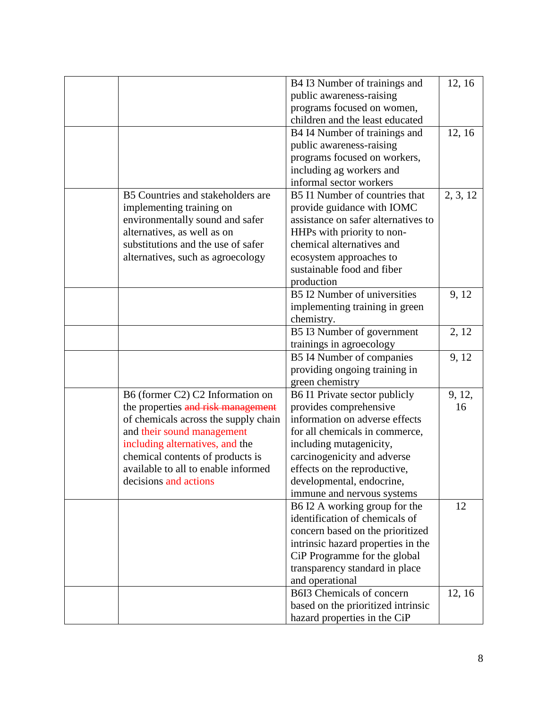|                                      | B4 I3 Number of trainings and       | 12, 16   |
|--------------------------------------|-------------------------------------|----------|
|                                      | public awareness-raising            |          |
|                                      | programs focused on women,          |          |
|                                      | children and the least educated     |          |
|                                      | B4 I4 Number of trainings and       | 12, 16   |
|                                      | public awareness-raising            |          |
|                                      | programs focused on workers,        |          |
|                                      | including ag workers and            |          |
|                                      | informal sector workers             |          |
| B5 Countries and stakeholders are    | B5 I1 Number of countries that      | 2, 3, 12 |
| implementing training on             | provide guidance with IOMC          |          |
| environmentally sound and safer      | assistance on safer alternatives to |          |
| alternatives, as well as on          | HHPs with priority to non-          |          |
| substitutions and the use of safer   | chemical alternatives and           |          |
| alternatives, such as agroecology    | ecosystem approaches to             |          |
|                                      | sustainable food and fiber          |          |
|                                      | production                          |          |
|                                      | B5 I2 Number of universities        | 9, 12    |
|                                      | implementing training in green      |          |
|                                      | chemistry.                          |          |
|                                      | B5 I3 Number of government          | 2, 12    |
|                                      | trainings in agroecology            |          |
|                                      | B5 I4 Number of companies           | 9, 12    |
|                                      | providing ongoing training in       |          |
|                                      | green chemistry                     |          |
| B6 (former C2) C2 Information on     | B6 I1 Private sector publicly       | 9, 12,   |
| the properties and risk management   | provides comprehensive              | 16       |
| of chemicals across the supply chain | information on adverse effects      |          |
| and their sound management           | for all chemicals in commerce,      |          |
| including alternatives, and the      | including mutagenicity,             |          |
| chemical contents of products is     | carcinogenicity and adverse         |          |
| available to all to enable informed  | effects on the reproductive,        |          |
| decisions and actions                | developmental, endocrine,           |          |
|                                      | immune and nervous systems          |          |
|                                      | B6 I2 A working group for the       | 12       |
|                                      | identification of chemicals of      |          |
|                                      | concern based on the prioritized    |          |
|                                      | intrinsic hazard properties in the  |          |
|                                      | CiP Programme for the global        |          |
|                                      | transparency standard in place      |          |
|                                      | and operational                     |          |
|                                      | B6I3 Chemicals of concern           | 12, 16   |
|                                      | based on the prioritized intrinsic  |          |
|                                      | hazard properties in the CiP        |          |
|                                      |                                     |          |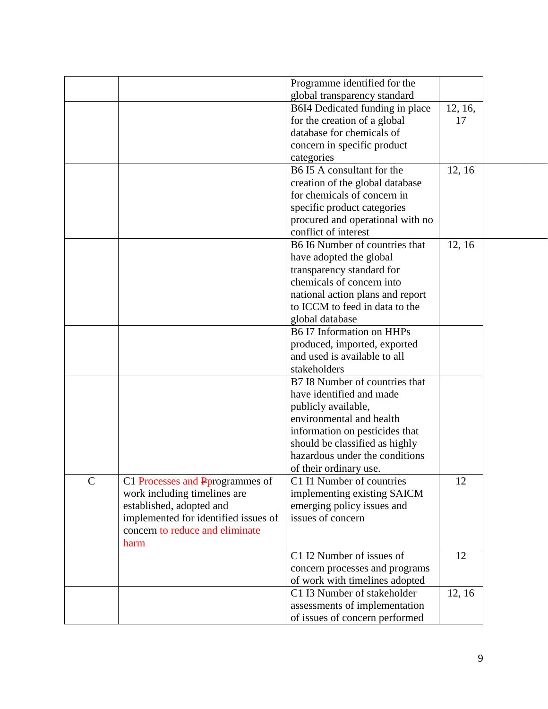| Programme identified for the                                                  |         |  |
|-------------------------------------------------------------------------------|---------|--|
|                                                                               |         |  |
| global transparency standard                                                  |         |  |
| B6I4 Dedicated funding in place                                               | 12, 16, |  |
| for the creation of a global                                                  | 17      |  |
| database for chemicals of                                                     |         |  |
| concern in specific product                                                   |         |  |
| categories                                                                    |         |  |
| B6 I5 A consultant for the                                                    | 12, 16  |  |
| creation of the global database                                               |         |  |
| for chemicals of concern in                                                   |         |  |
| specific product categories                                                   |         |  |
| procured and operational with no                                              |         |  |
| conflict of interest                                                          |         |  |
| B6 I6 Number of countries that                                                | 12, 16  |  |
| have adopted the global                                                       |         |  |
| transparency standard for                                                     |         |  |
| chemicals of concern into                                                     |         |  |
| national action plans and report                                              |         |  |
| to ICCM to feed in data to the                                                |         |  |
| global database                                                               |         |  |
| B6 I7 Information on HHPs                                                     |         |  |
| produced, imported, exported                                                  |         |  |
| and used is available to all                                                  |         |  |
| stakeholders                                                                  |         |  |
| B7 I8 Number of countries that                                                |         |  |
| have identified and made                                                      |         |  |
| publicly available,                                                           |         |  |
| environmental and health                                                      |         |  |
| information on pesticides that                                                |         |  |
| should be classified as highly                                                |         |  |
| hazardous under the conditions                                                |         |  |
| of their ordinary use.                                                        |         |  |
| $\mathcal{C}$<br>C1 Processes and Pprogrammes of<br>C1 I1 Number of countries | 12      |  |
| work including timelines are<br>implementing existing SAICM                   |         |  |
| established, adopted and<br>emerging policy issues and                        |         |  |
| issues of concern<br>implemented for identified issues of                     |         |  |
| concern to reduce and eliminate                                               |         |  |
| harm                                                                          |         |  |
| C1 I2 Number of issues of                                                     | 12      |  |
| concern processes and programs                                                |         |  |
| of work with timelines adopted                                                |         |  |
| C1 I3 Number of stakeholder                                                   | 12, 16  |  |
| assessments of implementation                                                 |         |  |
| of issues of concern performed                                                |         |  |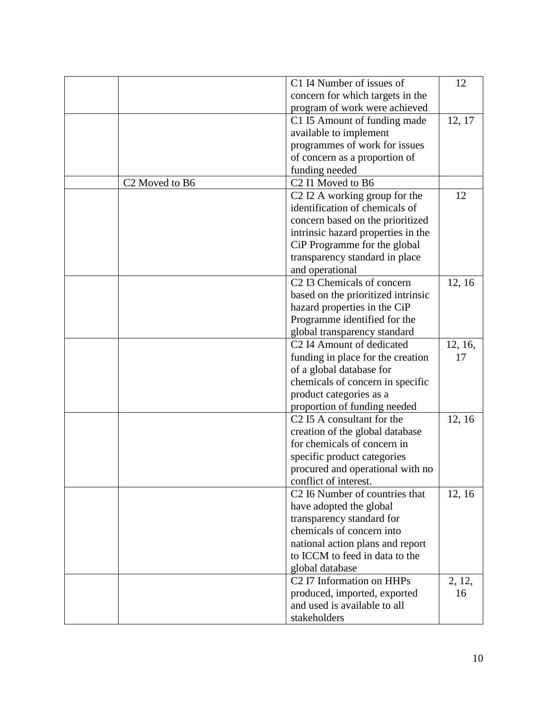|                                        | C1 I4 Number of issues of                             | 12      |
|----------------------------------------|-------------------------------------------------------|---------|
|                                        | concern for which targets in the                      |         |
|                                        | program of work were achieved                         |         |
|                                        | C1 I5 Amount of funding made                          | 12, 17  |
|                                        |                                                       |         |
|                                        | available to implement                                |         |
|                                        | programmes of work for issues                         |         |
|                                        | of concern as a proportion of                         |         |
|                                        | funding needed                                        |         |
| C <sub>2</sub> Moved to B <sub>6</sub> | C <sub>2</sub> I1 Moved to B <sub>6</sub>             |         |
|                                        | C <sub>2</sub> I <sub>2</sub> A working group for the | 12      |
|                                        | identification of chemicals of                        |         |
|                                        | concern based on the prioritized                      |         |
|                                        | intrinsic hazard properties in the                    |         |
|                                        | CiP Programme for the global                          |         |
|                                        | transparency standard in place                        |         |
|                                        | and operational                                       |         |
|                                        | C <sub>2</sub> I3 Chemicals of concern                | 12, 16  |
|                                        | based on the prioritized intrinsic                    |         |
|                                        | hazard properties in the CiP                          |         |
|                                        | Programme identified for the                          |         |
|                                        | global transparency standard                          |         |
|                                        | C <sub>2</sub> I4 Amount of dedicated                 | 12, 16, |
|                                        | funding in place for the creation                     | 17      |
|                                        | of a global database for                              |         |
|                                        | chemicals of concern in specific                      |         |
|                                        | product categories as a                               |         |
|                                        | proportion of funding needed                          |         |
|                                        | C <sub>2</sub> I5 A consultant for the                | 12, 16  |
|                                        | creation of the global database                       |         |
|                                        | for chemicals of concern in                           |         |
|                                        | specific product categories                           |         |
|                                        | procured and operational with no                      |         |
|                                        | conflict of interest.                                 |         |
|                                        | C <sub>2</sub> I6 Number of countries that            | 12, 16  |
|                                        | have adopted the global                               |         |
|                                        | transparency standard for                             |         |
|                                        | chemicals of concern into                             |         |
|                                        | national action plans and report                      |         |
|                                        | to ICCM to feed in data to the                        |         |
|                                        | global database                                       |         |
|                                        | C <sub>2</sub> I7 Information on HHPs                 | 2, 12,  |
|                                        | produced, imported, exported                          | 16      |
|                                        | and used is available to all                          |         |
|                                        | stakeholders                                          |         |
|                                        |                                                       |         |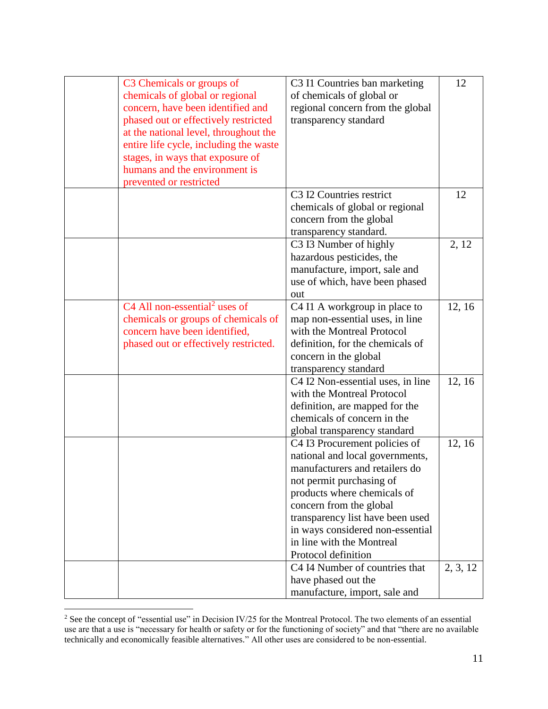| C3 Chemicals or groups of                             | C3 I1 Countries ban marketing                    | 12       |
|-------------------------------------------------------|--------------------------------------------------|----------|
| chemicals of global or regional                       | of chemicals of global or                        |          |
| concern, have been identified and                     | regional concern from the global                 |          |
| phased out or effectively restricted                  | transparency standard                            |          |
| at the national level, throughout the                 |                                                  |          |
| entire life cycle, including the waste                |                                                  |          |
| stages, in ways that exposure of                      |                                                  |          |
| humans and the environment is                         |                                                  |          |
| prevented or restricted                               |                                                  |          |
|                                                       | C <sub>3</sub> I <sub>2</sub> Countries restrict | 12       |
|                                                       |                                                  |          |
|                                                       | chemicals of global or regional                  |          |
|                                                       | concern from the global                          |          |
|                                                       | transparency standard.                           |          |
|                                                       | C3 I3 Number of highly                           | 2, 12    |
|                                                       | hazardous pesticides, the                        |          |
|                                                       | manufacture, import, sale and                    |          |
|                                                       | use of which, have been phased                   |          |
|                                                       | out                                              |          |
| C <sub>4</sub> All non-essential <sup>2</sup> uses of | C4 I1 A workgroup in place to                    | 12, 16   |
| chemicals or groups of chemicals of                   | map non-essential uses, in line                  |          |
| concern have been identified,                         | with the Montreal Protocol                       |          |
| phased out or effectively restricted.                 | definition, for the chemicals of                 |          |
|                                                       | concern in the global                            |          |
|                                                       | transparency standard                            |          |
|                                                       | C4 I2 Non-essential uses, in line                | 12, 16   |
|                                                       | with the Montreal Protocol                       |          |
|                                                       | definition, are mapped for the                   |          |
|                                                       | chemicals of concern in the                      |          |
|                                                       | global transparency standard                     |          |
|                                                       | C4 I3 Procurement policies of                    | 12, 16   |
|                                                       | national and local governments,                  |          |
|                                                       | manufacturers and retailers do                   |          |
|                                                       | not permit purchasing of                         |          |
|                                                       | products where chemicals of                      |          |
|                                                       | concern from the global                          |          |
|                                                       | transparency list have been used                 |          |
|                                                       | in ways considered non-essential                 |          |
|                                                       | in line with the Montreal                        |          |
|                                                       | Protocol definition                              |          |
|                                                       |                                                  |          |
|                                                       | C4 I4 Number of countries that                   | 2, 3, 12 |
|                                                       | have phased out the                              |          |
|                                                       | manufacture, import, sale and                    |          |

 $2^2$  See the concept of "essential use" in Decision IV/25 for the Montreal Protocol. The two elements of an essential use are that a use is "necessary for health or safety or for the functioning of society" and that "there are no available technically and economically feasible alternatives." All other uses are considered to be non-essential.

 $\overline{a}$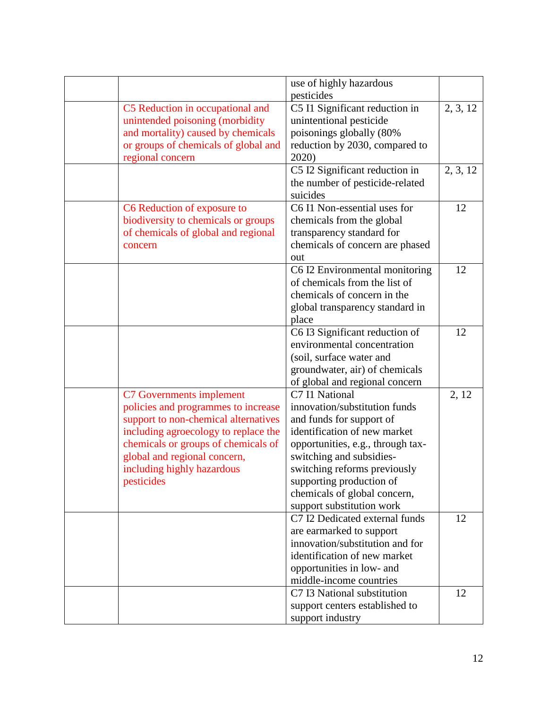|                                      | use of highly hazardous                                |          |
|--------------------------------------|--------------------------------------------------------|----------|
|                                      | pesticides                                             |          |
| C5 Reduction in occupational and     | C5 I1 Significant reduction in                         | 2, 3, 12 |
| unintended poisoning (morbidity      | unintentional pesticide                                |          |
| and mortality) caused by chemicals   | poisonings globally (80%                               |          |
| or groups of chemicals of global and | reduction by 2030, compared to                         |          |
| regional concern                     | 2020)                                                  |          |
|                                      | C5 I2 Significant reduction in                         | 2, 3, 12 |
|                                      | the number of pesticide-related                        |          |
|                                      | suicides                                               |          |
| C6 Reduction of exposure to          | C6 I1 Non-essential uses for                           | 12       |
| biodiversity to chemicals or groups  | chemicals from the global                              |          |
| of chemicals of global and regional  | transparency standard for                              |          |
| concern                              | chemicals of concern are phased                        |          |
|                                      | out                                                    |          |
|                                      | C6 I2 Environmental monitoring                         | 12       |
|                                      | of chemicals from the list of                          |          |
|                                      | chemicals of concern in the                            |          |
|                                      | global transparency standard in                        |          |
|                                      | place                                                  |          |
|                                      | C6 I3 Significant reduction of                         | 12       |
|                                      | environmental concentration                            |          |
|                                      | (soil, surface water and                               |          |
|                                      | groundwater, air) of chemicals                         |          |
|                                      | of global and regional concern                         |          |
| C7 Governments implement             | C7 I1 National                                         | 2, 12    |
| policies and programmes to increase  | innovation/substitution funds                          |          |
| support to non-chemical alternatives | and funds for support of                               |          |
| including agroecology to replace the | identification of new market                           |          |
| chemicals or groups of chemicals of  | opportunities, e.g., through tax-                      |          |
| global and regional concern,         | switching and subsidies-                               |          |
| including highly hazardous           | switching reforms previously                           |          |
| pesticides                           | supporting production of                               |          |
|                                      | chemicals of global concern,                           |          |
|                                      | support substitution work                              |          |
|                                      | C7 I2 Dedicated external funds                         | 12       |
|                                      | are earmarked to support                               |          |
|                                      | innovation/substitution and for                        |          |
|                                      | identification of new market                           |          |
|                                      |                                                        |          |
|                                      | opportunities in low- and                              |          |
|                                      | middle-income countries<br>C7 I3 National substitution |          |
|                                      |                                                        | 12       |
|                                      | support centers established to                         |          |
|                                      | support industry                                       |          |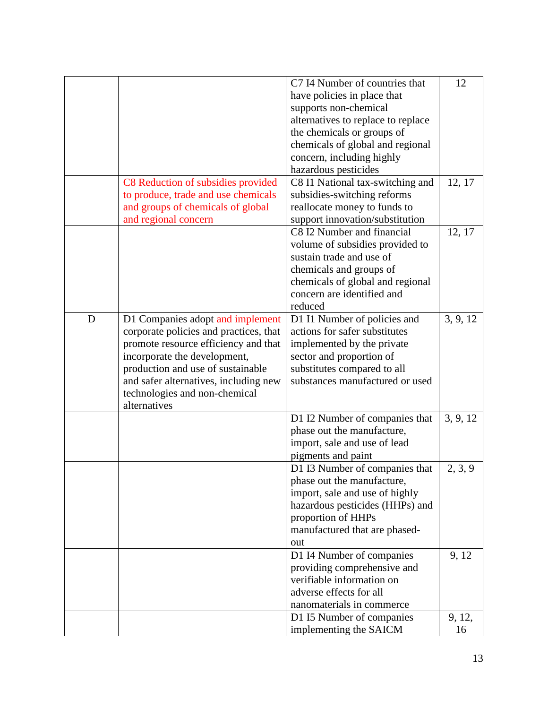|   |                                        | C7 I4 Number of countries that     | 12       |
|---|----------------------------------------|------------------------------------|----------|
|   |                                        | have policies in place that        |          |
|   |                                        | supports non-chemical              |          |
|   |                                        | alternatives to replace to replace |          |
|   |                                        | the chemicals or groups of         |          |
|   |                                        | chemicals of global and regional   |          |
|   |                                        | concern, including highly          |          |
|   |                                        | hazardous pesticides               |          |
|   | C8 Reduction of subsidies provided     | C8 I1 National tax-switching and   | 12, 17   |
|   | to produce, trade and use chemicals    | subsidies-switching reforms        |          |
|   | and groups of chemicals of global      | reallocate money to funds to       |          |
|   |                                        |                                    |          |
|   | and regional concern                   | support innovation/substitution    |          |
|   |                                        | C8 I2 Number and financial         | 12, 17   |
|   |                                        | volume of subsidies provided to    |          |
|   |                                        | sustain trade and use of           |          |
|   |                                        | chemicals and groups of            |          |
|   |                                        | chemicals of global and regional   |          |
|   |                                        | concern are identified and         |          |
|   |                                        | reduced                            |          |
| D | D1 Companies adopt and implement       | D1 I1 Number of policies and       | 3, 9, 12 |
|   | corporate policies and practices, that | actions for safer substitutes      |          |
|   | promote resource efficiency and that   | implemented by the private         |          |
|   | incorporate the development,           | sector and proportion of           |          |
|   | production and use of sustainable      | substitutes compared to all        |          |
|   | and safer alternatives, including new  | substances manufactured or used    |          |
|   | technologies and non-chemical          |                                    |          |
|   | alternatives                           |                                    |          |
|   |                                        | D1 I2 Number of companies that     | 3, 9, 12 |
|   |                                        | phase out the manufacture,         |          |
|   |                                        | import, sale and use of lead       |          |
|   |                                        | pigments and paint                 |          |
|   |                                        | D1 I3 Number of companies that     | 2, 3, 9  |
|   |                                        | phase out the manufacture,         |          |
|   |                                        | import, sale and use of highly     |          |
|   |                                        | hazardous pesticides (HHPs) and    |          |
|   |                                        | proportion of HHPs                 |          |
|   |                                        | manufactured that are phased-      |          |
|   |                                        | out                                |          |
|   |                                        | D1 I4 Number of companies          | 9, 12    |
|   |                                        | providing comprehensive and        |          |
|   |                                        | verifiable information on          |          |
|   |                                        | adverse effects for all            |          |
|   |                                        | nanomaterials in commerce          |          |
|   |                                        |                                    |          |
|   |                                        | D1 I5 Number of companies          | 9, 12,   |
|   |                                        | implementing the SAICM             | 16       |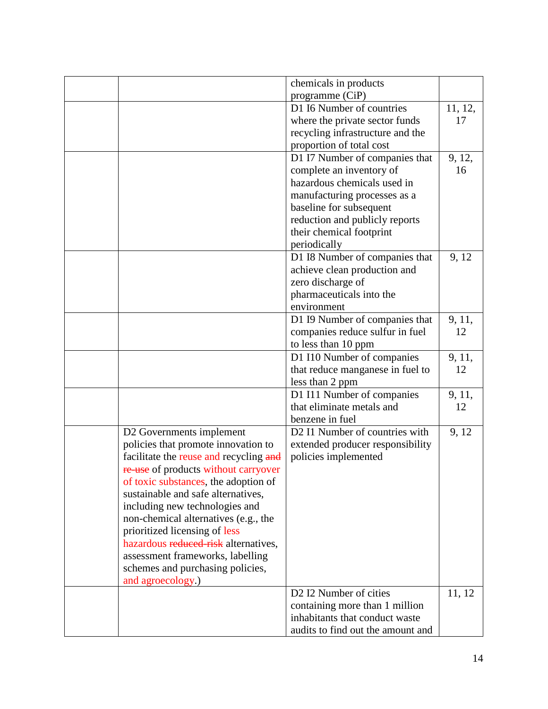|                                        | chemicals in products                          |         |
|----------------------------------------|------------------------------------------------|---------|
|                                        | programme (CiP)                                |         |
|                                        | D1 I6 Number of countries                      | 11, 12, |
|                                        | where the private sector funds                 | 17      |
|                                        | recycling infrastructure and the               |         |
|                                        | proportion of total cost                       |         |
|                                        | D1 I7 Number of companies that                 | 9, 12,  |
|                                        | complete an inventory of                       | 16      |
|                                        | hazardous chemicals used in                    |         |
|                                        |                                                |         |
|                                        | manufacturing processes as a                   |         |
|                                        | baseline for subsequent                        |         |
|                                        | reduction and publicly reports                 |         |
|                                        | their chemical footprint                       |         |
|                                        | periodically                                   |         |
|                                        | D1 I8 Number of companies that                 | 9, 12   |
|                                        | achieve clean production and                   |         |
|                                        | zero discharge of                              |         |
|                                        | pharmaceuticals into the                       |         |
|                                        | environment                                    |         |
|                                        | D1 I9 Number of companies that                 | 9, 11,  |
|                                        | companies reduce sulfur in fuel                | 12      |
|                                        | to less than 10 ppm                            |         |
|                                        | D1 I10 Number of companies                     | 9, 11,  |
|                                        |                                                | 12      |
|                                        | that reduce manganese in fuel to               |         |
|                                        | less than 2 ppm                                |         |
|                                        | D1 I11 Number of companies                     | 9, 11,  |
|                                        | that eliminate metals and                      | 12      |
|                                        | benzene in fuel                                |         |
| D2 Governments implement               | D2 I1 Number of countries with                 | 9, 12   |
| policies that promote innovation to    | extended producer responsibility               |         |
| facilitate the reuse and recycling and | policies implemented                           |         |
| re use of products without carryover   |                                                |         |
| of toxic substances, the adoption of   |                                                |         |
| sustainable and safe alternatives,     |                                                |         |
| including new technologies and         |                                                |         |
| non-chemical alternatives (e.g., the   |                                                |         |
| prioritized licensing of less          |                                                |         |
| hazardous reduced risk alternatives,   |                                                |         |
|                                        |                                                |         |
| assessment frameworks, labelling       |                                                |         |
| schemes and purchasing policies,       |                                                |         |
| and agroecology.)                      |                                                |         |
|                                        | D <sub>2</sub> I <sub>2</sub> Number of cities | 11, 12  |
|                                        | containing more than 1 million                 |         |
|                                        | inhabitants that conduct waste                 |         |
|                                        | audits to find out the amount and              |         |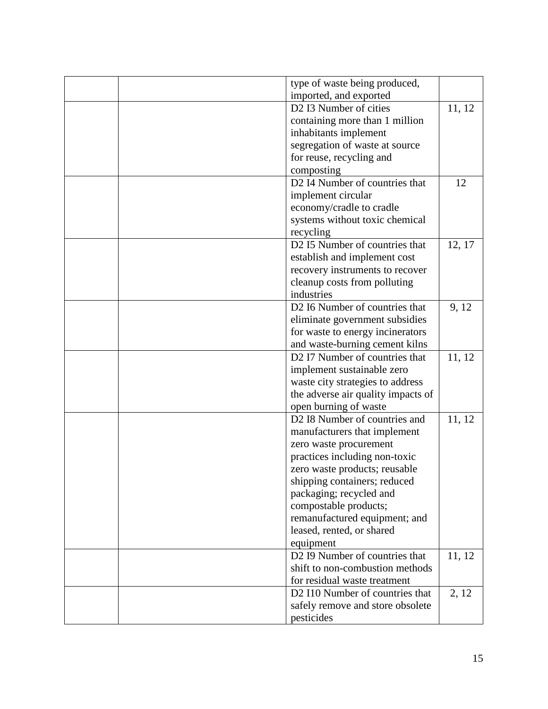|  | type of waste being produced,                                    |        |
|--|------------------------------------------------------------------|--------|
|  | imported, and exported                                           |        |
|  | D2 I3 Number of cities                                           | 11, 12 |
|  | containing more than 1 million                                   |        |
|  | inhabitants implement                                            |        |
|  | segregation of waste at source                                   |        |
|  | for reuse, recycling and                                         |        |
|  | composting                                                       |        |
|  | D2 I4 Number of countries that                                   | 12     |
|  | implement circular                                               |        |
|  | economy/cradle to cradle                                         |        |
|  | systems without toxic chemical                                   |        |
|  | recycling                                                        |        |
|  | D2 I5 Number of countries that                                   | 12, 17 |
|  | establish and implement cost                                     |        |
|  | recovery instruments to recover                                  |        |
|  | cleanup costs from polluting                                     |        |
|  | industries                                                       |        |
|  | D2 I6 Number of countries that                                   | 9, 12  |
|  | eliminate government subsidies                                   |        |
|  | for waste to energy incinerators                                 |        |
|  |                                                                  |        |
|  | and waste-burning cement kilns<br>D2 I7 Number of countries that | 11, 12 |
|  |                                                                  |        |
|  | implement sustainable zero                                       |        |
|  | waste city strategies to address                                 |        |
|  | the adverse air quality impacts of                               |        |
|  | open burning of waste                                            |        |
|  | D2 I8 Number of countries and                                    | 11, 12 |
|  | manufacturers that implement                                     |        |
|  | zero waste procurement                                           |        |
|  | practices including non-toxic                                    |        |
|  | zero waste products; reusable                                    |        |
|  | shipping containers; reduced                                     |        |
|  | packaging; recycled and                                          |        |
|  | compostable products;                                            |        |
|  | remanufactured equipment; and                                    |        |
|  | leased, rented, or shared                                        |        |
|  | equipment                                                        |        |
|  | D <sub>2</sub> I9 Number of countries that                       | 11, 12 |
|  | shift to non-combustion methods                                  |        |
|  | for residual waste treatment                                     |        |
|  | D2 I10 Number of countries that                                  | 2, 12  |
|  | safely remove and store obsolete                                 |        |
|  | pesticides                                                       |        |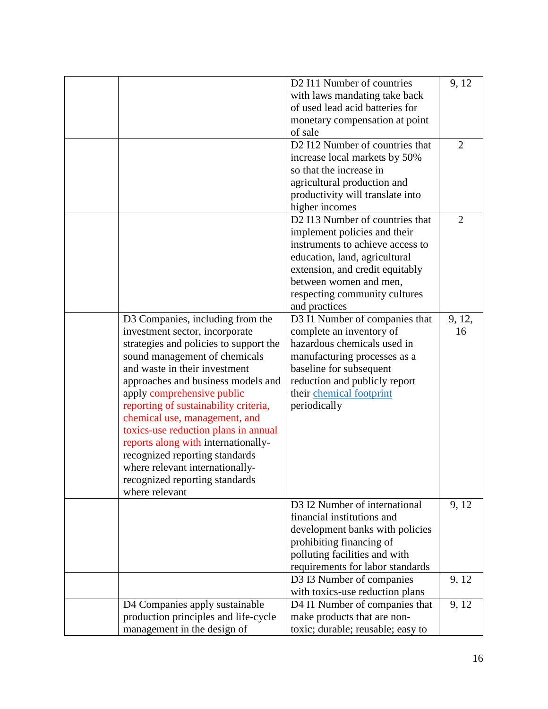|                                        | D2 I11 Number of countries        | 9, 12          |
|----------------------------------------|-----------------------------------|----------------|
|                                        | with laws mandating take back     |                |
|                                        | of used lead acid batteries for   |                |
|                                        | monetary compensation at point    |                |
|                                        | of sale                           |                |
|                                        | D2 I12 Number of countries that   | 2              |
|                                        | increase local markets by 50%     |                |
|                                        | so that the increase in           |                |
|                                        | agricultural production and       |                |
|                                        | productivity will translate into  |                |
|                                        | higher incomes                    |                |
|                                        | D2 I13 Number of countries that   | $\overline{2}$ |
|                                        | implement policies and their      |                |
|                                        | instruments to achieve access to  |                |
|                                        |                                   |                |
|                                        | education, land, agricultural     |                |
|                                        | extension, and credit equitably   |                |
|                                        | between women and men,            |                |
|                                        | respecting community cultures     |                |
|                                        | and practices                     |                |
| D3 Companies, including from the       | D3 I1 Number of companies that    | 9, 12,         |
| investment sector, incorporate         | complete an inventory of          | 16             |
| strategies and policies to support the | hazardous chemicals used in       |                |
| sound management of chemicals          | manufacturing processes as a      |                |
| and waste in their investment          | baseline for subsequent           |                |
| approaches and business models and     | reduction and publicly report     |                |
| apply comprehensive public             | their chemical footprint          |                |
| reporting of sustainability criteria,  | periodically                      |                |
| chemical use, management, and          |                                   |                |
| toxics-use reduction plans in annual   |                                   |                |
| reports along with internationally-    |                                   |                |
| recognized reporting standards         |                                   |                |
| where relevant internationally-        |                                   |                |
| recognized reporting standards         |                                   |                |
| where relevant                         |                                   |                |
|                                        | D3 I2 Number of international     | 9, 12          |
|                                        | financial institutions and        |                |
|                                        | development banks with policies   |                |
|                                        | prohibiting financing of          |                |
|                                        | polluting facilities and with     |                |
|                                        | requirements for labor standards  |                |
|                                        | D3 I3 Number of companies         | 9, 12          |
|                                        | with toxics-use reduction plans   |                |
| D4 Companies apply sustainable         | D4 I1 Number of companies that    | 9, 12          |
| production principles and life-cycle   | make products that are non-       |                |
|                                        |                                   |                |
| management in the design of            | toxic; durable; reusable; easy to |                |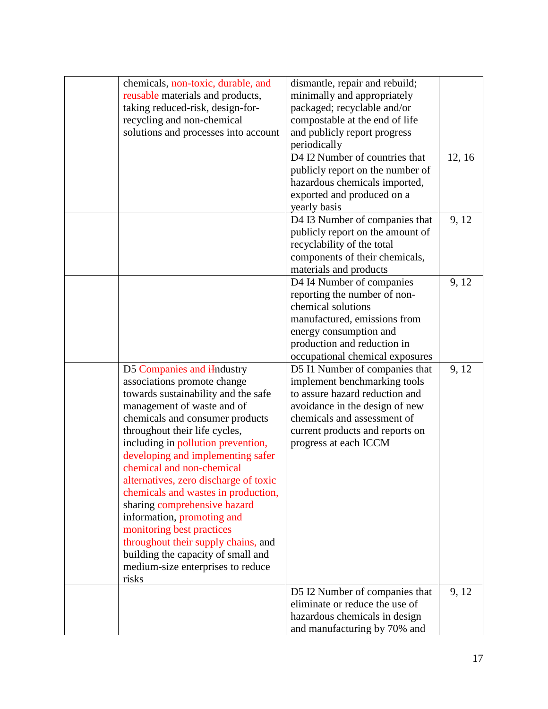| chemicals, non-toxic, durable, and      | dismantle, repair and rebuild;   |        |
|-----------------------------------------|----------------------------------|--------|
| reusable materials and products,        | minimally and appropriately      |        |
| taking reduced-risk, design-for-        | packaged; recyclable and/or      |        |
| recycling and non-chemical              | compostable at the end of life   |        |
| solutions and processes into account    | and publicly report progress     |        |
|                                         | periodically                     |        |
|                                         | D4 I2 Number of countries that   | 12, 16 |
|                                         | publicly report on the number of |        |
|                                         | hazardous chemicals imported,    |        |
|                                         | exported and produced on a       |        |
|                                         | yearly basis                     |        |
|                                         | D4 I3 Number of companies that   | 9, 12  |
|                                         | publicly report on the amount of |        |
|                                         | recyclability of the total       |        |
|                                         | components of their chemicals,   |        |
|                                         | materials and products           |        |
|                                         | D4 I4 Number of companies        | 9, 12  |
|                                         | reporting the number of non-     |        |
|                                         | chemical solutions               |        |
|                                         | manufactured, emissions from     |        |
|                                         | energy consumption and           |        |
|                                         | production and reduction in      |        |
|                                         | occupational chemical exposures  |        |
| D5 Companies and i <del>I</del> ndustry | D5 I1 Number of companies that   | 9, 12  |
| associations promote change             | implement benchmarking tools     |        |
| towards sustainability and the safe     | to assure hazard reduction and   |        |
|                                         |                                  |        |
| management of waste and of              | avoidance in the design of new   |        |
| chemicals and consumer products         | chemicals and assessment of      |        |
| throughout their life cycles,           | current products and reports on  |        |
| including in pollution prevention,      | progress at each ICCM            |        |
| developing and implementing safer       |                                  |        |
| chemical and non-chemical               |                                  |        |
| alternatives, zero discharge of toxic   |                                  |        |
| chemicals and wastes in production,     |                                  |        |
| sharing comprehensive hazard            |                                  |        |
| information, promoting and              |                                  |        |
| monitoring best practices               |                                  |        |
| throughout their supply chains, and     |                                  |        |
| building the capacity of small and      |                                  |        |
| medium-size enterprises to reduce       |                                  |        |
| risks                                   |                                  |        |
|                                         | D5 I2 Number of companies that   | 9, 12  |
|                                         | eliminate or reduce the use of   |        |
|                                         | hazardous chemicals in design    |        |
|                                         | and manufacturing by 70% and     |        |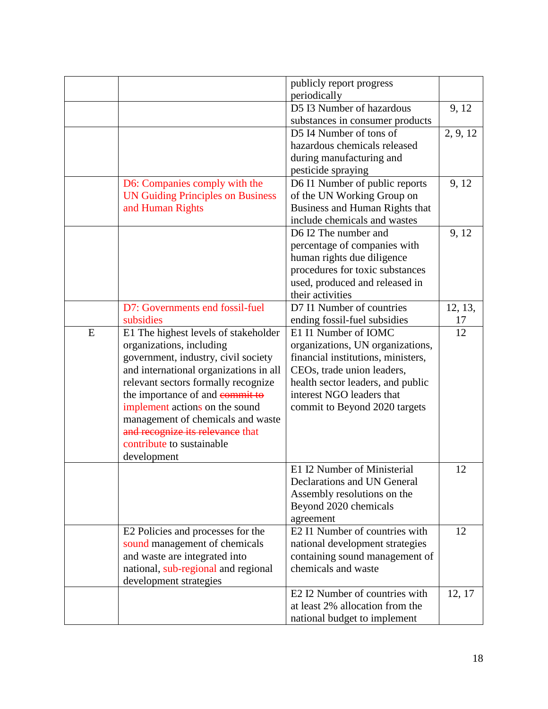|   |                                          | publicly report progress                                   |          |
|---|------------------------------------------|------------------------------------------------------------|----------|
|   |                                          | periodically<br>D5 I3 Number of hazardous                  |          |
|   |                                          |                                                            | 9, 12    |
|   |                                          | substances in consumer products<br>D5 I4 Number of tons of |          |
|   |                                          |                                                            | 2, 9, 12 |
|   |                                          | hazardous chemicals released                               |          |
|   |                                          | during manufacturing and                                   |          |
|   |                                          | pesticide spraying                                         |          |
|   | D6: Companies comply with the            | D6 I1 Number of public reports                             | 9, 12    |
|   | <b>UN Guiding Principles on Business</b> | of the UN Working Group on                                 |          |
|   | and Human Rights                         | Business and Human Rights that                             |          |
|   |                                          | include chemicals and wastes                               |          |
|   |                                          | D6 I2 The number and                                       | 9, 12    |
|   |                                          | percentage of companies with                               |          |
|   |                                          | human rights due diligence                                 |          |
|   |                                          | procedures for toxic substances                            |          |
|   |                                          | used, produced and released in                             |          |
|   |                                          | their activities                                           |          |
|   | D7: Governments end fossil-fuel          | D7 I1 Number of countries                                  | 12, 13,  |
|   | subsidies                                | ending fossil-fuel subsidies                               | 17       |
| E | E1 The highest levels of stakeholder     | E1 I1 Number of IOMC                                       | 12       |
|   | organizations, including                 | organizations, UN organizations,                           |          |
|   | government, industry, civil society      | financial institutions, ministers,                         |          |
|   | and international organizations in all   | CEOs, trade union leaders,                                 |          |
|   | relevant sectors formally recognize      | health sector leaders, and public                          |          |
|   | the importance of and commit to          | interest NGO leaders that                                  |          |
|   | implement actions on the sound           | commit to Beyond 2020 targets                              |          |
|   | management of chemicals and waste        |                                                            |          |
|   | and recognize its relevance that         |                                                            |          |
|   | contribute to sustainable                |                                                            |          |
|   | development                              |                                                            |          |
|   |                                          | E1 I2 Number of Ministerial                                | 12       |
|   |                                          | Declarations and UN General                                |          |
|   |                                          | Assembly resolutions on the                                |          |
|   |                                          | Beyond 2020 chemicals                                      |          |
|   |                                          | agreement                                                  |          |
|   | E2 Policies and processes for the        | E2 I1 Number of countries with                             | 12       |
|   | sound management of chemicals            | national development strategies                            |          |
|   | and waste are integrated into            | containing sound management of                             |          |
|   | national, sub-regional and regional      | chemicals and waste                                        |          |
|   | development strategies                   |                                                            |          |
|   |                                          | E2 I2 Number of countries with                             | 12, 17   |
|   |                                          | at least 2% allocation from the                            |          |
|   |                                          | national budget to implement                               |          |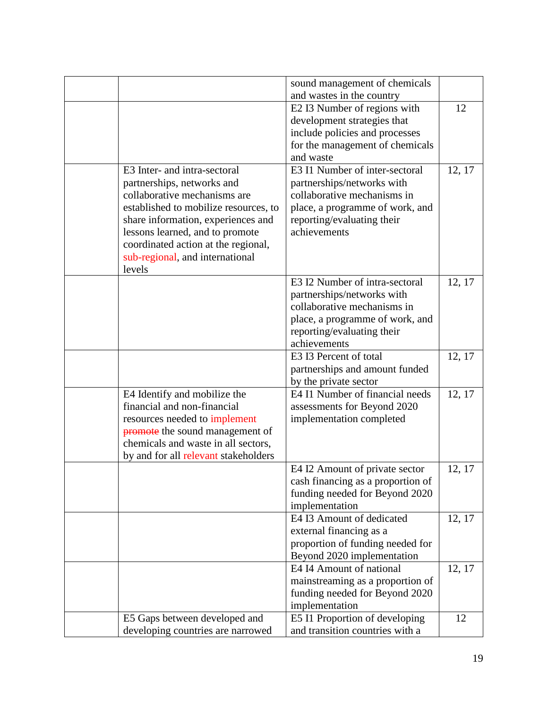|                                           | sound management of chemicals               |        |
|-------------------------------------------|---------------------------------------------|--------|
|                                           | and wastes in the country                   |        |
|                                           | E2 I3 Number of regions with                | 12     |
|                                           | development strategies that                 |        |
|                                           | include policies and processes              |        |
|                                           | for the management of chemicals             |        |
| E3 Inter- and intra-sectoral              | and waste<br>E3 I1 Number of inter-sectoral |        |
|                                           |                                             | 12, 17 |
| partnerships, networks and                | partnerships/networks with                  |        |
| collaborative mechanisms are              | collaborative mechanisms in                 |        |
| established to mobilize resources, to     | place, a programme of work, and             |        |
| share information, experiences and        | reporting/evaluating their                  |        |
| lessons learned, and to promote           | achievements                                |        |
| coordinated action at the regional,       |                                             |        |
| sub-regional, and international<br>levels |                                             |        |
|                                           | E3 I2 Number of intra-sectoral              | 12, 17 |
|                                           | partnerships/networks with                  |        |
|                                           | collaborative mechanisms in                 |        |
|                                           | place, a programme of work, and             |        |
|                                           | reporting/evaluating their                  |        |
|                                           | achievements                                |        |
|                                           | E3 I3 Percent of total                      | 12, 17 |
|                                           | partnerships and amount funded              |        |
|                                           | by the private sector                       |        |
| E4 Identify and mobilize the              | E4 I1 Number of financial needs             | 12, 17 |
| financial and non-financial               | assessments for Beyond 2020                 |        |
| resources needed to implement             | implementation completed                    |        |
| <b>promote</b> the sound management of    |                                             |        |
| chemicals and waste in all sectors,       |                                             |        |
| by and for all relevant stakeholders      |                                             |        |
|                                           | E4 I2 Amount of private sector              | 12, 17 |
|                                           | cash financing as a proportion of           |        |
|                                           | funding needed for Beyond 2020              |        |
|                                           | implementation                              |        |
|                                           | E4 I3 Amount of dedicated                   | 12, 17 |
|                                           | external financing as a                     |        |
|                                           | proportion of funding needed for            |        |
|                                           | Beyond 2020 implementation                  |        |
|                                           | E4 I4 Amount of national                    | 12, 17 |
|                                           | mainstreaming as a proportion of            |        |
|                                           | funding needed for Beyond 2020              |        |
|                                           | implementation                              |        |
| E5 Gaps between developed and             | E5 I1 Proportion of developing              | 12     |
| developing countries are narrowed         | and transition countries with a             |        |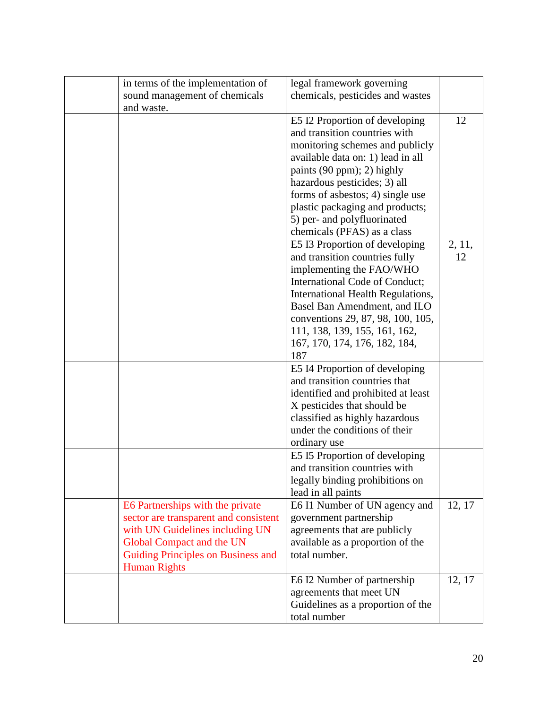| in terms of the implementation of     | legal framework governing          |        |
|---------------------------------------|------------------------------------|--------|
| sound management of chemicals         | chemicals, pesticides and wastes   |        |
| and waste.                            |                                    |        |
|                                       | E5 I2 Proportion of developing     | 12     |
|                                       | and transition countries with      |        |
|                                       | monitoring schemes and publicly    |        |
|                                       |                                    |        |
|                                       | available data on: 1) lead in all  |        |
|                                       | paints (90 ppm); 2) highly         |        |
|                                       | hazardous pesticides; 3) all       |        |
|                                       | forms of asbestos; 4) single use   |        |
|                                       | plastic packaging and products;    |        |
|                                       | 5) per- and polyfluorinated        |        |
|                                       | chemicals (PFAS) as a class        |        |
|                                       | E5 I3 Proportion of developing     | 2, 11, |
|                                       | and transition countries fully     | 12     |
|                                       | implementing the FAO/WHO           |        |
|                                       | International Code of Conduct;     |        |
|                                       | International Health Regulations,  |        |
|                                       | Basel Ban Amendment, and ILO       |        |
|                                       | conventions 29, 87, 98, 100, 105,  |        |
|                                       | 111, 138, 139, 155, 161, 162,      |        |
|                                       | 167, 170, 174, 176, 182, 184,      |        |
|                                       | 187                                |        |
|                                       |                                    |        |
|                                       | E5 I4 Proportion of developing     |        |
|                                       | and transition countries that      |        |
|                                       | identified and prohibited at least |        |
|                                       | X pesticides that should be        |        |
|                                       | classified as highly hazardous     |        |
|                                       | under the conditions of their      |        |
|                                       | ordinary use                       |        |
|                                       | E5 I5 Proportion of developing     |        |
|                                       | and transition countries with      |        |
|                                       | legally binding prohibitions on    |        |
|                                       | lead in all paints                 |        |
| E6 Partnerships with the private      | E6 I1 Number of UN agency and      | 12, 17 |
| sector are transparent and consistent | government partnership             |        |
| with UN Guidelines including UN       | agreements that are publicly       |        |
| Global Compact and the UN             | available as a proportion of the   |        |
| Guiding Principles on Business and    | total number.                      |        |
| <b>Human Rights</b>                   |                                    |        |
|                                       | E6 I2 Number of partnership        | 12, 17 |
|                                       | agreements that meet UN            |        |
|                                       | Guidelines as a proportion of the  |        |
|                                       | total number                       |        |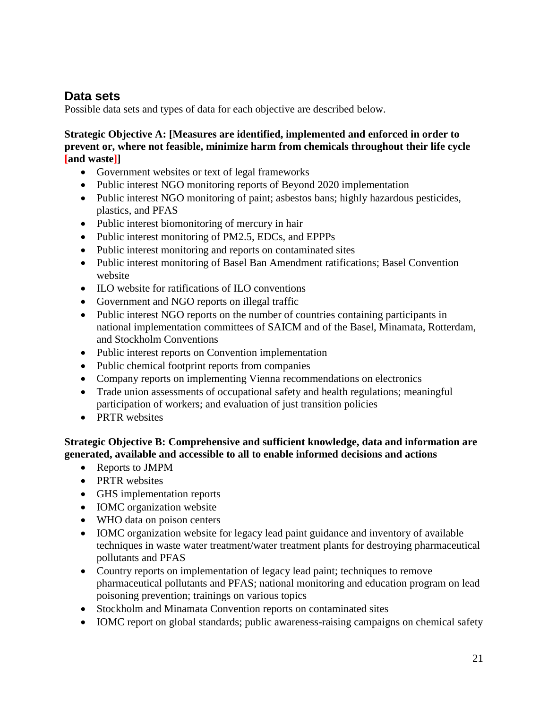### **Data sets**

Possible data sets and types of data for each objective are described below.

**Strategic Objective A: [Measures are identified, implemented and enforced in order to prevent or, where not feasible, minimize harm from chemicals throughout their life cycle [and waste]]**

- Government websites or text of legal frameworks
- Public interest NGO monitoring reports of Beyond 2020 implementation
- Public interest NGO monitoring of paint; asbestos bans; highly hazardous pesticides, plastics, and PFAS
- Public interest biomonitoring of mercury in hair
- Public interest monitoring of PM2.5, EDCs, and EPPPs
- Public interest monitoring and reports on contaminated sites
- Public interest monitoring of Basel Ban Amendment ratifications; Basel Convention website
- ILO website for ratifications of ILO conventions
- Government and NGO reports on illegal traffic
- Public interest NGO reports on the number of countries containing participants in national implementation committees of SAICM and of the Basel, Minamata, Rotterdam, and Stockholm Conventions
- Public interest reports on Convention implementation
- Public chemical footprint reports from companies
- Company reports on implementing Vienna recommendations on electronics
- Trade union assessments of occupational safety and health regulations; meaningful participation of workers; and evaluation of just transition policies
- PRTR websites

**Strategic Objective B: Comprehensive and sufficient knowledge, data and information are generated, available and accessible to all to enable informed decisions and actions**

- Reports to JMPM
- PRTR websites
- GHS implementation reports
- IOMC organization website
- WHO data on poison centers
- IOMC organization website for legacy lead paint guidance and inventory of available techniques in waste water treatment/water treatment plants for destroying pharmaceutical pollutants and PFAS
- Country reports on implementation of legacy lead paint; techniques to remove pharmaceutical pollutants and PFAS; national monitoring and education program on lead poisoning prevention; trainings on various topics
- Stockholm and Minamata Convention reports on contaminated sites
- IOMC report on global standards; public awareness-raising campaigns on chemical safety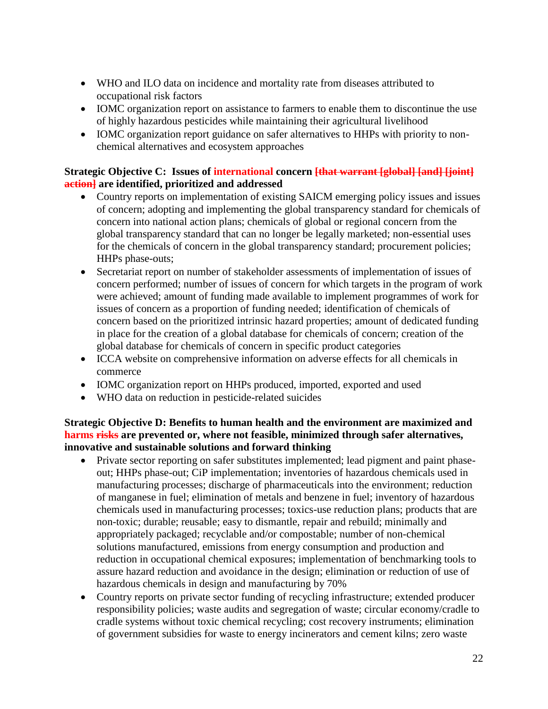- WHO and ILO data on incidence and mortality rate from diseases attributed to occupational risk factors
- IOMC organization report on assistance to farmers to enable them to discontinue the use of highly hazardous pesticides while maintaining their agricultural livelihood
- IOMC organization report guidance on safer alternatives to HHPs with priority to nonchemical alternatives and ecosystem approaches

#### **Strategic Objective C: Issues of international concern [that warrant [global] [and] [joint] action] are identified, prioritized and addressed**

- Country reports on implementation of existing SAICM emerging policy issues and issues of concern; adopting and implementing the global transparency standard for chemicals of concern into national action plans; chemicals of global or regional concern from the global transparency standard that can no longer be legally marketed; non-essential uses for the chemicals of concern in the global transparency standard; procurement policies; HHPs phase-outs;
- Secretariat report on number of stakeholder assessments of implementation of issues of concern performed; number of issues of concern for which targets in the program of work were achieved; amount of funding made available to implement programmes of work for issues of concern as a proportion of funding needed; identification of chemicals of concern based on the prioritized intrinsic hazard properties; amount of dedicated funding in place for the creation of a global database for chemicals of concern; creation of the global database for chemicals of concern in specific product categories
- ICCA website on comprehensive information on adverse effects for all chemicals in commerce
- IOMC organization report on HHPs produced, imported, exported and used
- WHO data on reduction in pesticide-related suicides

#### **Strategic Objective D: Benefits to human health and the environment are maximized and harms risks are prevented or, where not feasible, minimized through safer alternatives, innovative and sustainable solutions and forward thinking**

- Private sector reporting on safer substitutes implemented; lead pigment and paint phaseout; HHPs phase-out; CiP implementation; inventories of hazardous chemicals used in manufacturing processes; discharge of pharmaceuticals into the environment; reduction of manganese in fuel; elimination of metals and benzene in fuel; inventory of hazardous chemicals used in manufacturing processes; toxics-use reduction plans; products that are non-toxic; durable; reusable; easy to dismantle, repair and rebuild; minimally and appropriately packaged; recyclable and/or compostable; number of non-chemical solutions manufactured, emissions from energy consumption and production and reduction in occupational chemical exposures; implementation of benchmarking tools to assure hazard reduction and avoidance in the design; elimination or reduction of use of hazardous chemicals in design and manufacturing by 70%
- Country reports on private sector funding of recycling infrastructure; extended producer responsibility policies; waste audits and segregation of waste; circular economy/cradle to cradle systems without toxic chemical recycling; cost recovery instruments; elimination of government subsidies for waste to energy incinerators and cement kilns; zero waste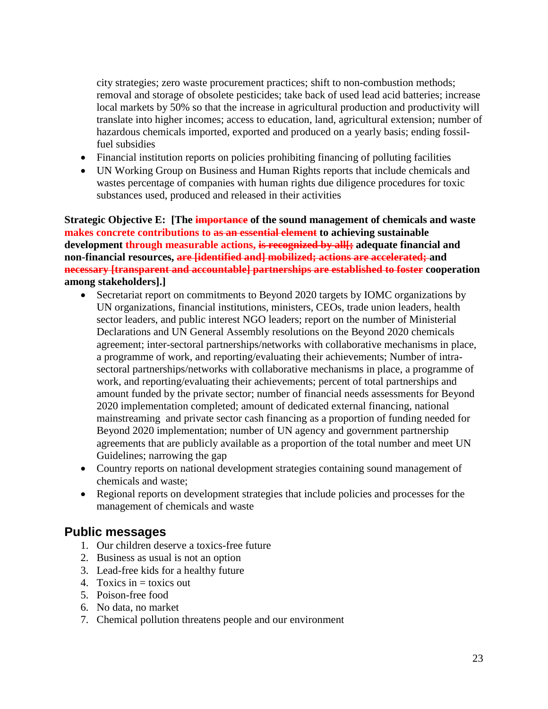city strategies; zero waste procurement practices; shift to non-combustion methods; removal and storage of obsolete pesticides; take back of used lead acid batteries; increase local markets by 50% so that the increase in agricultural production and productivity will translate into higher incomes; access to education, land, agricultural extension; number of hazardous chemicals imported, exported and produced on a yearly basis; ending fossilfuel subsidies

- Financial institution reports on policies prohibiting financing of polluting facilities
- UN Working Group on Business and Human Rights reports that include chemicals and wastes percentage of companies with human rights due diligence procedures for toxic substances used, produced and released in their activities

**Strategic Objective E: [The importance of the sound management of chemicals and waste makes concrete contributions to as an essential element to achieving sustainable development through measurable actions, is recognized by all[; adequate financial and non-financial resources, are [identified and] mobilized; actions are accelerated; and necessary [transparent and accountable] partnerships are established to foster cooperation among stakeholders].]**

- Secretariat report on commitments to Beyond 2020 targets by IOMC organizations by UN organizations, financial institutions, ministers, CEOs, trade union leaders, health sector leaders, and public interest NGO leaders; report on the number of Ministerial Declarations and UN General Assembly resolutions on the Beyond 2020 chemicals agreement; inter-sectoral partnerships/networks with collaborative mechanisms in place, a programme of work, and reporting/evaluating their achievements; Number of intrasectoral partnerships/networks with collaborative mechanisms in place, a programme of work, and reporting/evaluating their achievements; percent of total partnerships and amount funded by the private sector; number of financial needs assessments for Beyond 2020 implementation completed; amount of dedicated external financing, national mainstreaming and private sector cash financing as a proportion of funding needed for Beyond 2020 implementation; number of UN agency and government partnership agreements that are publicly available as a proportion of the total number and meet UN Guidelines; narrowing the gap
- Country reports on national development strategies containing sound management of chemicals and waste;
- Regional reports on development strategies that include policies and processes for the management of chemicals and waste

### **Public messages**

- 1. Our children deserve a toxics-free future
- 2. Business as usual is not an option
- 3. Lead-free kids for a healthy future
- 4. Toxics in  $=$  toxics out
- 5. Poison-free food
- 6. No data, no market
- 7. Chemical pollution threatens people and our environment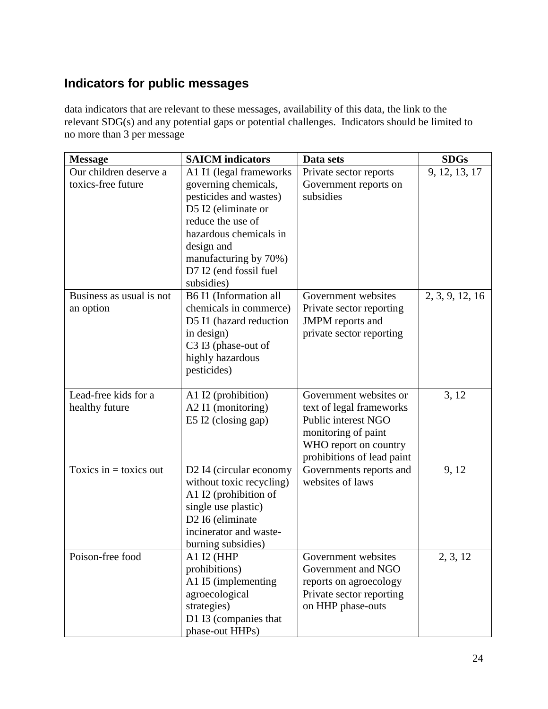## **Indicators for public messages**

data indicators that are relevant to these messages, availability of this data, the link to the relevant SDG(s) and any potential gaps or potential challenges. Indicators should be limited to no more than 3 per message

| <b>Message</b>                               | <b>SAICM</b> indicators                                                                                                                                                                                                        | Data sets                                                                                                                                               | <b>SDGs</b>     |
|----------------------------------------------|--------------------------------------------------------------------------------------------------------------------------------------------------------------------------------------------------------------------------------|---------------------------------------------------------------------------------------------------------------------------------------------------------|-----------------|
| Our children deserve a<br>toxics-free future | A1 I1 (legal frameworks<br>governing chemicals,<br>pesticides and wastes)<br>D5 I2 (eliminate or<br>reduce the use of<br>hazardous chemicals in<br>design and<br>manufacturing by 70%)<br>D7 I2 (end fossil fuel<br>subsidies) | Private sector reports<br>Government reports on<br>subsidies                                                                                            | 9, 12, 13, 17   |
| Business as usual is not<br>an option        | B6 I1 (Information all<br>chemicals in commerce)<br>D5 I1 (hazard reduction<br>in design)<br>C3 I3 (phase-out of<br>highly hazardous<br>pesticides)                                                                            | Government websites<br>Private sector reporting<br><b>JMPM</b> reports and<br>private sector reporting                                                  | 2, 3, 9, 12, 16 |
| Lead-free kids for a<br>healthy future       | A1 I2 (prohibition)<br>A2 I1 (monitoring)<br>E5 I2 (closing gap)                                                                                                                                                               | Government websites or<br>text of legal frameworks<br>Public interest NGO<br>monitoring of paint<br>WHO report on country<br>prohibitions of lead paint | 3, 12           |
| Toxics in $=$ toxics out                     | D2 I4 (circular economy<br>without toxic recycling)<br>A1 I2 (prohibition of<br>single use plastic)<br>D2 I6 (eliminate<br>incinerator and waste-<br>burning subsidies)                                                        | Governments reports and<br>websites of laws                                                                                                             | 9, 12           |
| Poison-free food                             | A1 I2 (HHP<br>prohibitions)<br>A1 I5 (implementing<br>agroecological<br>strategies)<br>D1 I3 (companies that<br>phase-out HHPs)                                                                                                | Government websites<br>Government and NGO<br>reports on agroecology<br>Private sector reporting<br>on HHP phase-outs                                    | 2, 3, 12        |